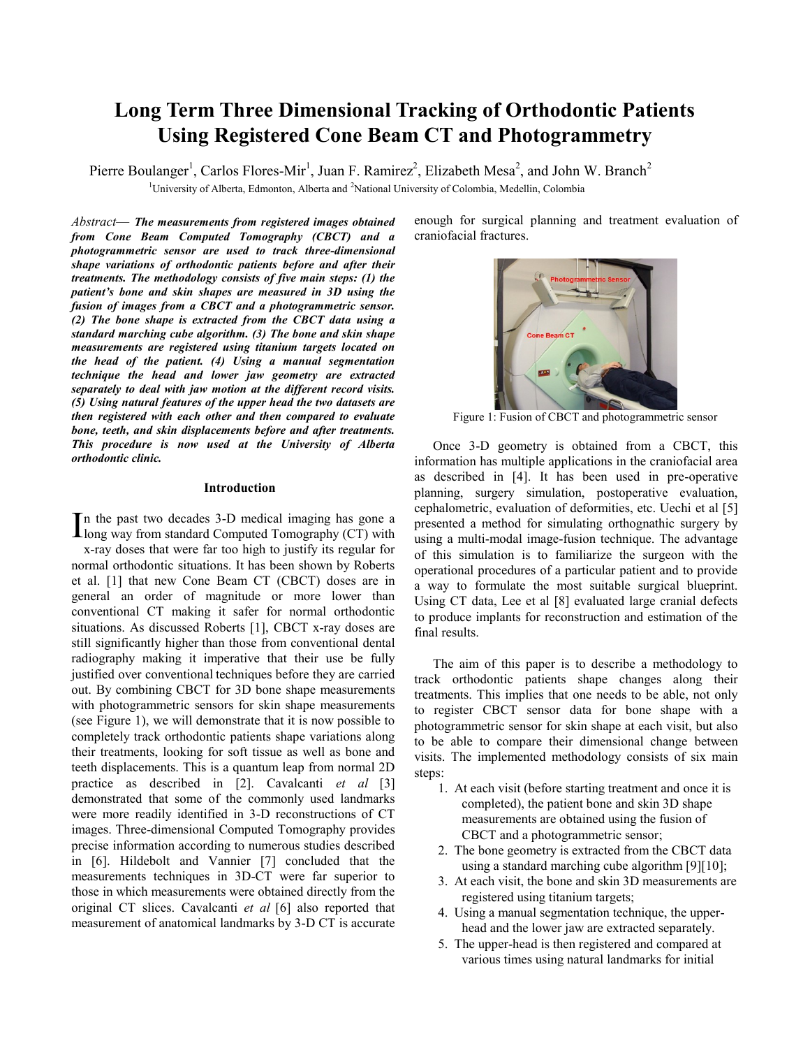# **Long Term Three Dimensional Tracking of Orthodontic Patients Using Registered Cone Beam CT and Photogrammetry**

<sup>1</sup>University of Alberta, Edmonton, Alberta and <sup>2</sup>National University of Colombia, Medellin, Colombia Pierre Boulanger<sup>1</sup>, Carlos Flores-Mir<sup>1</sup>, Juan F. Ramirez<sup>2</sup>, Elizabeth Mesa<sup>2</sup>, and John W. Branch<sup>2</sup>

*Abstract*— *The measurements from registered images obtained from Cone Beam Computed Tomography (CBCT) and a photogrammetric sensor are used to track three-dimensional shape variations of orthodontic patients before and after their treatments. The methodology consists of five main steps: (1) the patient's bone and skin shapes are measured in 3D using the fusion of images from a CBCT and a photogrammetric sensor. (2) The bone shape is extracted from the CBCT data using a standard marching cube algorithm. (3) The bone and skin shape measurements are registered using titanium targets located on the head of the patient. (4) Using a manual segmentation technique the head and lower jaw geometry are extracted separately to deal with jaw motion at the different record visits. (5) Using natural features of the upper head the two datasets are then registered with each other and then compared to evaluate bone, teeth, and skin displacements before and after treatments. This procedure is now used at the University of Alberta orthodontic clinic.*

#### **Introduction**

n the past two decades 3-D medical imaging has gone a In the past two decades  $3-D$  medical imaging has gone a long way from standard Computed Tomography (CT) with x-ray doses that were far too high to justify its regular for normal orthodontic situations. It has been shown by Roberts et al. [1] that new Cone Beam CT (CBCT) doses are in general an order of magnitude or more lower than conventional CT making it safer for normal orthodontic situations. As discussed Roberts [1], CBCT x-ray doses are still significantly higher than those from conventional dental radiography making it imperative that their use be fully justified over conventional techniques before they are carried out. By combining CBCT for 3D bone shape measurements with photogrammetric sensors for skin shape measurements (see Figure 1), we will demonstrate that it is now possible to completely track orthodontic patients shape variations along their treatments, looking for soft tissue as well as bone and teeth displacements. This is a quantum leap from normal 2D practice as described in [2]. Cavalcanti *et al* [3] demonstrated that some of the commonly used landmarks were more readily identified in 3-D reconstructions of CT images. Three-dimensional Computed Tomography provides precise information according to numerous studies described in [6]. Hildebolt and Vannier [7] concluded that the measurements techniques in 3D-CT were far superior to those in which measurements were obtained directly from the original CT slices. Cavalcanti *et al* [6] also reported that measurement of anatomical landmarks by 3-D CT is accurate

enough for surgical planning and treatment evaluation of craniofacial fractures.



Figure 1: Fusion of CBCT and photogrammetric sensor

Once 3-D geometry is obtained from a CBCT, this information has multiple applications in the craniofacial area as described in [4]. It has been used in pre-operative planning, surgery simulation, postoperative evaluation, cephalometric, evaluation of deformities, etc. Uechi et al [5] presented a method for simulating orthognathic surgery by using a multi-modal image-fusion technique. The advantage of this simulation is to familiarize the surgeon with the operational procedures of a particular patient and to provide a way to formulate the most suitable surgical blueprint. Using CT data, Lee et al [8] evaluated large cranial defects to produce implants for reconstruction and estimation of the final results.

The aim of this paper is to describe a methodology to track orthodontic patients shape changes along their treatments. This implies that one needs to be able, not only to register CBCT sensor data for bone shape with a photogrammetric sensor for skin shape at each visit, but also to be able to compare their dimensional change between visits. The implemented methodology consists of six main steps:

- 1. At each visit (before starting treatment and once it is completed), the patient bone and skin 3D shape measurements are obtained using the fusion of CBCT and a photogrammetric sensor;
- 2. The bone geometry is extracted from the CBCT data using a standard marching cube algorithm [9][10];
- 3. At each visit, the bone and skin 3D measurements are registered using titanium targets;
- 4. Using a manual segmentation technique, the upperhead and the lower jaw are extracted separately.
- 5. The upper-head is then registered and compared at various times using natural landmarks for initial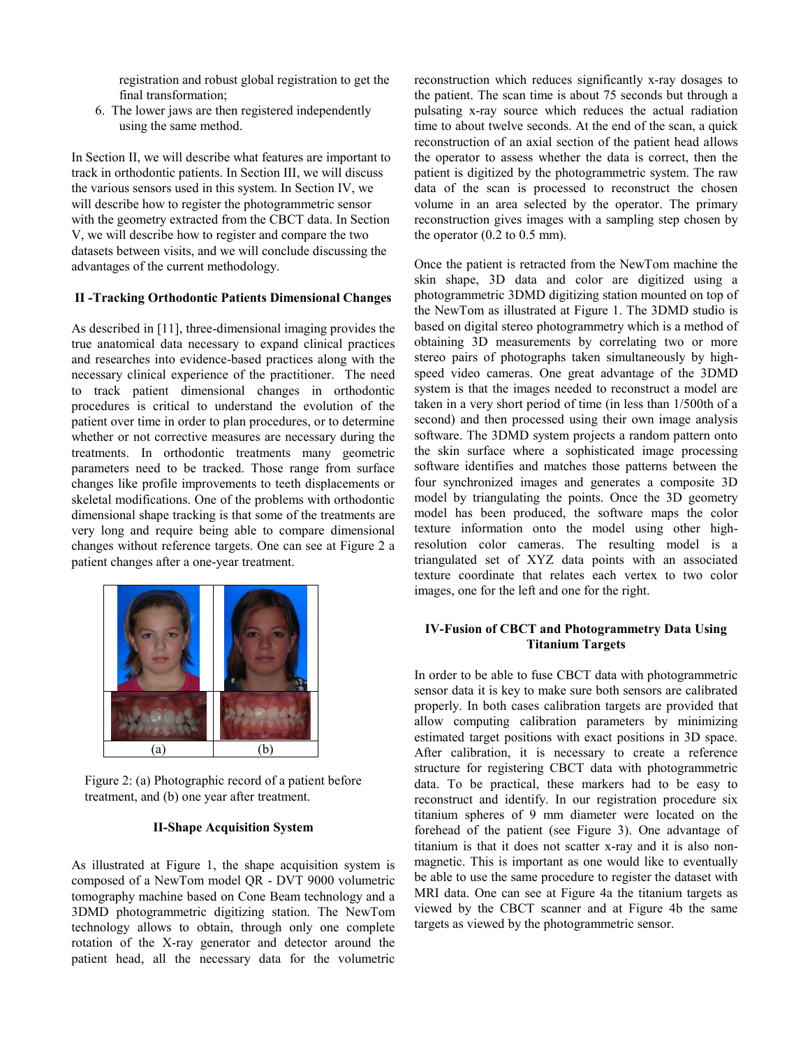registration and robust global registration to get the final transformation;

6. The lower jaws are then registered independently using the same method.

In Section II, we will describe what features are important to track in orthodontic patients. In Section III, we will discuss the various sensors used in this system. In Section IV, we will describe how to register the photogrammetric sensor with the geometry extracted from the CBCT data. In Section V, we will describe how to register and compare the two datasets between visits, and we will conclude discussing the advantages of the current methodology.

## **II -Tracking Orthodontic Patients Dimensional Changes**

As described in [11], three-dimensional imaging provides the true anatomical data necessary to expand clinical practices and researches into evidence-based practices along with the necessary clinical experience of the practitioner. The need to track patient dimensional changes in orthodontic procedures is critical to understand the evolution of the patient over time in order to plan procedures, or to determine whether or not corrective measures are necessary during the treatments. In orthodontic treatments many geometric parameters need to be tracked. Those range from surface changes like profile improvements to teeth displacements or skeletal modifications. One of the problems with orthodontic dimensional shape tracking is that some of the treatments are very long and require being able to compare dimensional changes without reference targets. One can see at Figure 2 a patient changes after a one-year treatment.



Figure 2: (a) Photographic record of a patient before treatment, and (b) one year after treatment.

#### **II-Shape Acquisition System**

As illustrated at Figure 1, the shape acquisition system is composed of a NewTom model QR - DVT 9000 volumetric tomography machine based on Cone Beam technology and a 3DMD photogrammetric digitizing station. The NewTom technology allows to obtain, through only one complete rotation of the X-ray generator and detector around the patient head, all the necessary data for the volumetric reconstruction which reduces significantly x-ray dosages to the patient. The scan time is about 75 seconds but through a pulsating x-ray source which reduces the actual radiation time to about twelve seconds. At the end of the scan, a quick reconstruction of an axial section of the patient head allows the operator to assess whether the data is correct, then the patient is digitized by the photogrammetric system. The raw data of the scan is processed to reconstruct the chosen volume in an area selected by the operator. The primary reconstruction gives images with a sampling step chosen by the operator  $(0.2 \text{ to } 0.5 \text{ mm})$ .

Once the patient is retracted from the NewTom machine the skin shape, 3D data and color are digitized using a photogrammetric 3DMD digitizing station mounted on top of the NewTom as illustrated at Figure 1. The 3DMD studio is based on digital stereo photogrammetry which is a method of obtaining 3D measurements by correlating two or more stereo pairs of photographs taken simultaneously by highspeed video cameras. One great advantage of the 3DMD system is that the images needed to reconstruct a model are taken in a very short period of time (in less than 1/500th of a second) and then processed using their own image analysis software. The 3DMD system projects a random pattern onto the skin surface where a sophisticated image processing software identifies and matches those patterns between the four synchronized images and generates a composite 3D model by triangulating the points. Once the 3D geometry model has been produced, the software maps the color texture information onto the model using other highresolution color cameras. The resulting model is a triangulated set of XYZ data points with an associated texture coordinate that relates each vertex to two color images, one for the left and one for the right.

## **IV-Fusion of CBCT and Photogrammetry Data Using Titanium Targets**

In order to be able to fuse CBCT data with photogrammetric sensor data it is key to make sure both sensors are calibrated properly. In both cases calibration targets are provided that allow computing calibration parameters by minimizing estimated target positions with exact positions in 3D space. After calibration, it is necessary to create a reference structure for registering CBCT data with photogrammetric data. To be practical, these markers had to be easy to reconstruct and identify. In our registration procedure six titanium spheres of 9 mm diameter were located on the forehead of the patient (see Figure 3). One advantage of titanium is that it does not scatter x-ray and it is also nonmagnetic. This is important as one would like to eventually be able to use the same procedure to register the dataset with MRI data. One can see at Figure 4a the titanium targets as viewed by the CBCT scanner and at Figure 4b the same targets as viewed by the photogrammetric sensor.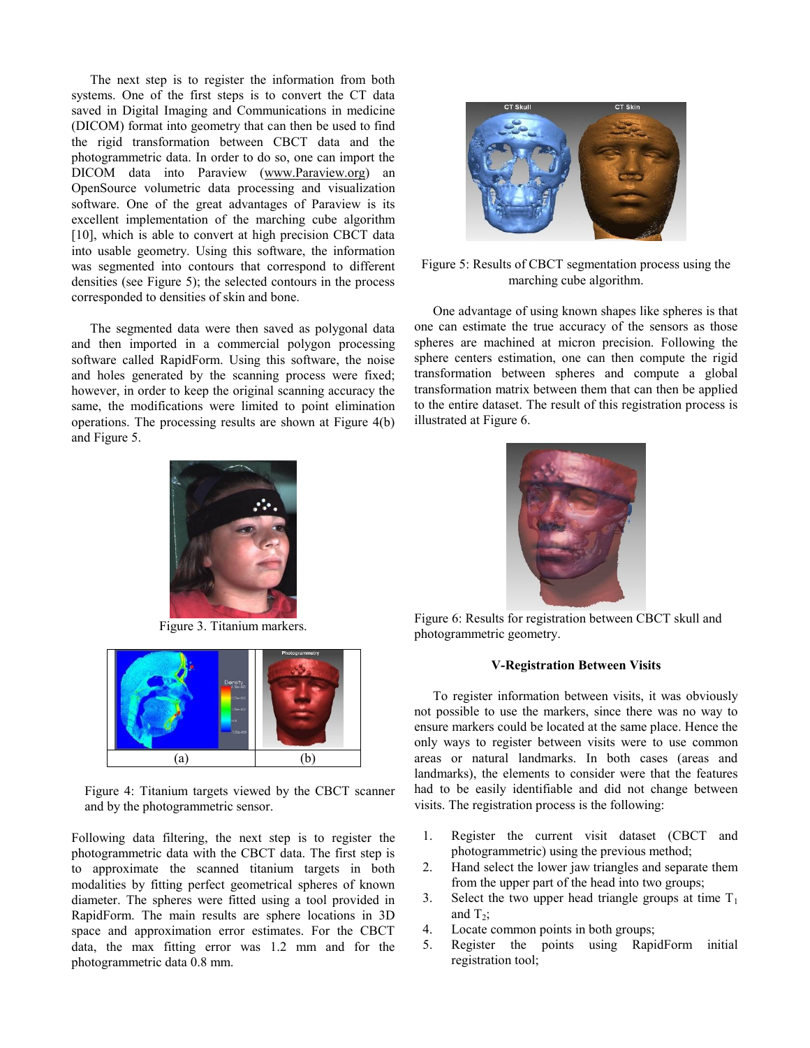The next step is to register the information from both systems. One of the first steps is to convert the CT data saved in Digital Imaging and Communications in medicine (DICOM) format into geometry that can then be used to find the rigid transformation between CBCT data and the photogrammetric data. In order to do so, one can import the DICOM data into Paraview [\(www.Paraview.org\)](http://www.paraview.org/) an OpenSource volumetric data processing and visualization software. One of the great advantages of Paraview is its excellent implementation of the marching cube algorithm [10], which is able to convert at high precision CBCT data into usable geometry. Using this software, the information was segmented into contours that correspond to different densities (see Figure 5); the selected contours in the process corresponded to densities of skin and bone.

The segmented data were then saved as polygonal data and then imported in a commercial polygon processing software called RapidForm. Using this software, the noise and holes generated by the scanning process were fixed; however, in order to keep the original scanning accuracy the same, the modifications were limited to point elimination operations. The processing results are shown at Figure 4(b) and Figure 5.



Figure 3. Titanium markers.



Figure 4: Titanium targets viewed by the CBCT scanner and by the photogrammetric sensor.

Following data filtering, the next step is to register the photogrammetric data with the CBCT data. The first step is to approximate the scanned titanium targets in both modalities by fitting perfect geometrical spheres of known diameter. The spheres were fitted using a tool provided in RapidForm. The main results are sphere locations in 3D space and approximation error estimates. For the CBCT data, the max fitting error was 1.2 mm and for the photogrammetric data 0.8 mm.



## Figure 5: Results of CBCT segmentation process using the marching cube algorithm.

One advantage of using known shapes like spheres is that one can estimate the true accuracy of the sensors as those spheres are machined at micron precision. Following the sphere centers estimation, one can then compute the rigid transformation between spheres and compute a global transformation matrix between them that can then be applied to the entire dataset. The result of this registration process is illustrated at Figure 6.



Figure 6: Results for registration between CBCT skull and photogrammetric geometry.

### **V-Registration Between Visits**

To register information between visits, it was obviously not possible to use the markers, since there was no way to ensure markers could be located at the same place. Hence the only ways to register between visits were to use common areas or natural landmarks. In both cases (areas and landmarks), the elements to consider were that the features had to be easily identifiable and did not change between visits. The registration process is the following:

- 1. Register the current visit dataset (CBCT and photogrammetric) using the previous method;
- 2. Hand select the lower jaw triangles and separate them from the upper part of the head into two groups;
- 3. Select the two upper head triangle groups at time  $T_1$ and  $T_2$ ;
- 4. Locate common points in both groups;
- 5. Register the points using RapidForm initial registration tool;